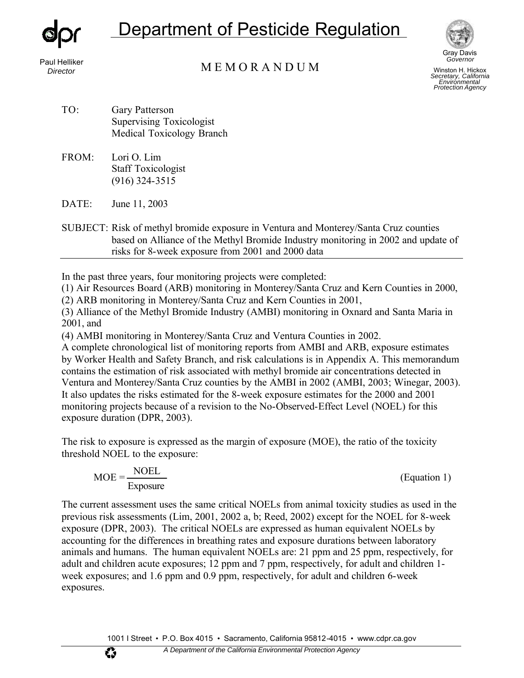

Paul Helliker

Department of Pesticide Regulation



Winston H. Hickox *Secretary, California Environmental Protection Agency* 

*Director* M E M O R A N D U M

- TO: Gary Patterson Supervising Toxicologist Medical Toxicology Branch
- FROM: Lori O. Lim Staff Toxicologist (916) 324-3515
- DATE: June 11, 2003

 risks for 8-week exposure from 2001 and 2000 data SUBJECT: Risk of methyl bromide exposure in Ventura and Monterey/Santa Cruz counties based on Alliance of the Methyl Bromide Industry monitoring in 2002 and update of

In the past three years, four monitoring projects were completed:

(1) Air Resources Board (ARB) monitoring in Monterey/Santa Cruz and Kern Counties in 2000,

(2) ARB monitoring in Monterey/Santa Cruz and Kern Counties in 2001,

(3) Alliance of the Methyl Bromide Industry (AMBI) monitoring in Oxnard and Santa Maria in 2001, and

(4) AMBI monitoring in Monterey/Santa Cruz and Ventura Counties in 2002.

 by Worker Health and Safety Branch, and risk calculations is in Appendix A. This memorandum A complete chronological list of monitoring reports from AMBI and ARB, exposure estimates contains the estimation of risk associated with methyl bromide air concentrations detected in Ventura and Monterey/Santa Cruz counties by the AMBI in 2002 (AMBI, 2003; Winegar, 2003). It also updates the risks estimated for the 8-week exposure estimates for the 2000 and 2001 monitoring projects because of a revision to the No-Observed-Effect Level (NOEL) for this exposure duration (DPR, 2003).

The risk to exposure is expressed as the margin of exposure (MOE), the ratio of the toxicity threshold NOEL to the exposure:

$$
MOE = \frac{NOEL}{Exposure}
$$
 (Equation 1)

The current assessment uses the same critical NOELs from animal toxicity studies as used in the previous risk assessments (Lim, 2001, 2002 a, b; Reed, 2002) except for the NOEL for 8-week exposure (DPR, 2003). The critical NOELs are expressed as human equivalent NOELs by accounting for the differences in breathing rates and exposure durations between laboratory animals and humans. The human equivalent NOELs are: 21 ppm and 25 ppm, respectively, for adult and children acute exposures; 12 ppm and 7 ppm, respectively, for adult and children 1 week exposures; and 1.6 ppm and 0.9 ppm, respectively, for adult and children 6-week exposures.

W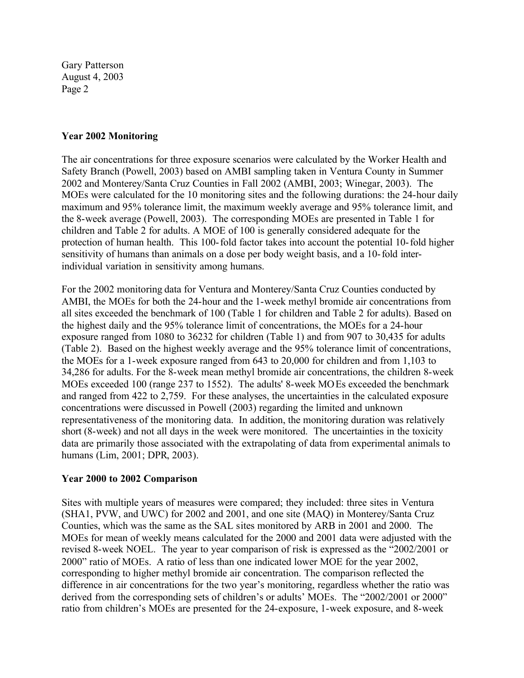#### **Year 2002 Monitoring**

 sensitivity of humans than animals on a dose per body weight basis, and a 10-fold inter-The air concentrations for three exposure scenarios were calculated by the Worker Health and Safety Branch (Powell, 2003) based on AMBI sampling taken in Ventura County in Summer 2002 and Monterey/Santa Cruz Counties in Fall 2002 (AMBI, 2003; Winegar, 2003). The MOEs were calculated for the 10 monitoring sites and the following durations: the 24-hour daily maximum and 95% tolerance limit, the maximum weekly average and 95% tolerance limit, and the 8-week average (Powell, 2003). The corresponding MOEs are presented in Table 1 for children and Table 2 for adults. A MOE of 100 is generally considered adequate for the protection of human health. This 100-fold factor takes into account the potential 10-fold higher individual variation in sensitivity among humans.

 the highest daily and the 95% tolerance limit of concentrations, the MOEs for a 24-hour For the 2002 monitoring data for Ventura and Monterey/Santa Cruz Counties conducted by AMBI, the MOEs for both the 24-hour and the 1-week methyl bromide air concentrations from all sites exceeded the benchmark of 100 (Table 1 for children and Table 2 for adults). Based on exposure ranged from 1080 to 36232 for children (Table 1) and from 907 to 30,435 for adults (Table 2). Based on the highest weekly average and the 95% tolerance limit of concentrations, the MOEs for a 1-week exposure ranged from 643 to 20,000 for children and from 1,103 to 34,286 for adults. For the 8-week mean methyl bromide air concentrations, the children 8-week MOEs exceeded 100 (range 237 to 1552). The adults' 8-week MOEs exceeded the benchmark and ranged from 422 to 2,759. For these analyses, the uncertainties in the calculated exposure concentrations were discussed in Powell (2003) regarding the limited and unknown representativeness of the monitoring data. In addition, the monitoring duration was relatively short (8-week) and not all days in the week were monitored. The uncertainties in the toxicity data are primarily those associated with the extrapolating of data from experimental animals to humans (Lim, 2001; DPR, 2003).

### **Year 2000 to 2002 Comparison**

Sites with multiple years of measures were compared; they included: three sites in Ventura (SHA1, PVW, and UWC) for 2002 and 2001, and one site (MAQ) in Monterey/Santa Cruz Counties, which was the same as the SAL sites monitored by ARB in 2001 and 2000. The MOEs for mean of weekly means calculated for the 2000 and 2001 data were adjusted with the revised 8-week NOEL. The year to year comparison of risk is expressed as the "2002/2001 or 2000" ratio of MOEs. A ratio of less than one indicated lower MOE for the year 2002, corresponding to higher methyl bromide air concentration. The comparison reflected the difference in air concentrations for the two year's monitoring, regardless whether the ratio was derived from the corresponding sets of children's or adults' MOEs. The "2002/2001 or 2000" ratio from children's MOEs are presented for the 24-exposure, 1-week exposure, and 8-week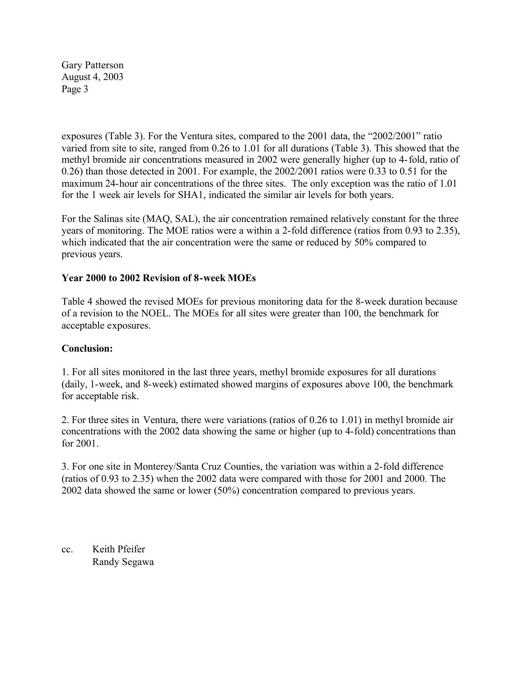exposures (Table 3). For the Ventura sites, compared to the 2001 data, the "2002/2001" ratio varied from site to site, ranged from 0.26 to 1.01 for all durations (Table 3). This showed that the methyl bromide air concentrations measured in 2002 were generally higher (up to 4-fold, ratio of 0.26) than those detected in 2001. For example, the 2002/2001 ratios were 0.33 to 0.51 for the maximum 24-hour air concentrations of the three sites. The only exception was the ratio of 1.01 for the 1 week air levels for SHA1, indicated the similar air levels for both years.

 previous years. For the Salinas site (MAQ, SAL), the air concentration remained relatively constant for the three years of monitoring. The MOE ratios were a within a 2-fold difference (ratios from 0.93 to 2.35), which indicated that the air concentration were the same or reduced by 50% compared to

# **Year 2000 to 2002 Revision of 8-week MOEs**

Table 4 showed the revised MOEs for previous monitoring data for the 8-week duration because of a revision to the NOEL. The MOEs for all sites were greater than 100, the benchmark for acceptable exposures.

### **Conclusion:**

1. For all sites monitored in the last three years, methyl bromide exposures for all durations (daily, 1-week, and 8-week) estimated showed margins of exposures above 100, the benchmark for acceptable risk.

2. For three sites in Ventura, there were variations (ratios of 0.26 to 1.01) in methyl bromide air concentrations with the 2002 data showing the same or higher (up to 4-fold) concentrations than for 2001.

3. For one site in Monterey/Santa Cruz Counties, the variation was within a 2-fold difference (ratios of 0.93 to 2.35) when the 2002 data were compared with those for 2001 and 2000. The 2002 data showed the same or lower (50%) concentration compared to previous years.

cc. Keith Pfeifer Randy Segawa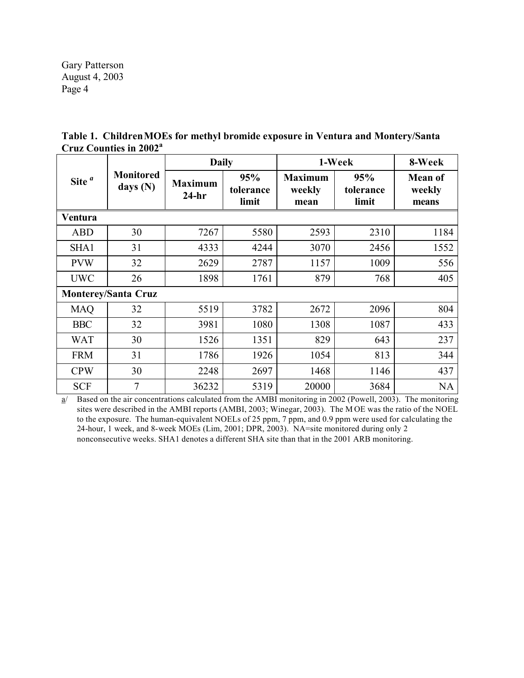|                            |                              | <b>Daily</b>              |                           | 1-Week                           | 8-Week                    |                                   |  |  |  |
|----------------------------|------------------------------|---------------------------|---------------------------|----------------------------------|---------------------------|-----------------------------------|--|--|--|
| Site $a$                   | <b>Monitored</b><br>days (N) | <b>Maximum</b><br>$24-hr$ | 95%<br>tolerance<br>limit | <b>Maximum</b><br>weekly<br>mean | 95%<br>tolerance<br>limit | <b>Mean of</b><br>weekly<br>means |  |  |  |
| Ventura                    |                              |                           |                           |                                  |                           |                                   |  |  |  |
| <b>ABD</b>                 | 30                           | 7267                      | 5580                      | 2593                             | 2310                      | 1184                              |  |  |  |
| SHA1                       | 31                           | 4333                      | 4244                      | 3070                             | 2456                      | 1552                              |  |  |  |
| <b>PVW</b>                 | 32                           | 2629                      | 2787                      | 1157                             | 1009                      | 556                               |  |  |  |
| <b>UWC</b>                 | 26                           | 1898                      | 1761                      | 879                              | 768                       | 405                               |  |  |  |
| <b>Monterey/Santa Cruz</b> |                              |                           |                           |                                  |                           |                                   |  |  |  |
| <b>MAQ</b>                 | 32                           | 5519                      | 3782                      | 2672                             | 2096                      | 804                               |  |  |  |
| <b>BBC</b>                 | 32                           | 3981                      | 1080                      | 1308                             | 1087                      | 433                               |  |  |  |
| <b>WAT</b>                 | 30                           | 1526                      | 1351                      | 829                              | 643                       | 237                               |  |  |  |
| <b>FRM</b>                 | 31                           | 1786                      | 1926                      | 1054                             | 813                       | 344                               |  |  |  |
| <b>CPW</b>                 | 30                           | 2248                      | 2697                      | 1468                             | 1146                      | 437                               |  |  |  |
| <b>SCF</b>                 | $\tau$                       | 36232                     | 5319                      | 20000                            | 3684                      | NA                                |  |  |  |

**Table 1. Children MOEs for methyl bromide exposure in Ventura and Montery/Santa Cruz Counties in 2002<sup>a</sup>**

a/ Based on the air concentrations calculated from the AMBI monitoring in 2002 (Powell, 2003). The monitoring sites were described in the AMBI reports (AMBI, 2003; Winegar, 2003). The M OE was the ratio of the NOEL to the exposure. The human-equivalent NOELs of 25 ppm, 7 ppm, and 0.9 ppm were used for calculating the 24-hour, 1 week, and 8-week MOEs (Lim, 2001; DPR, 2003). NA=site monitored during only 2 nonconsecutive weeks. SHA1 denotes a different SHA site than that in the 2001 ARB monitoring.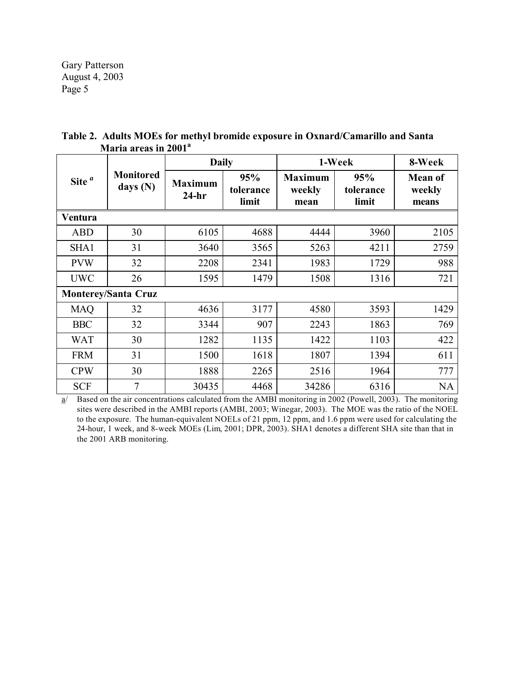|                            |                              | <b>Daily</b>              |                           | 1-Week                           | 8-Week                    |                                   |  |  |
|----------------------------|------------------------------|---------------------------|---------------------------|----------------------------------|---------------------------|-----------------------------------|--|--|
| Site $a$                   | <b>Monitored</b><br>days (N) | <b>Maximum</b><br>$24-hr$ | 95%<br>tolerance<br>limit | <b>Maximum</b><br>weekly<br>mean | 95%<br>tolerance<br>limit | <b>Mean of</b><br>weekly<br>means |  |  |
| Ventura                    |                              |                           |                           |                                  |                           |                                   |  |  |
| <b>ABD</b>                 | 30                           | 6105                      | 4688                      | 4444                             | 3960                      | 2105                              |  |  |
| SHA1                       | 31                           | 3640                      | 3565                      | 5263                             | 4211                      | 2759                              |  |  |
| <b>PVW</b>                 | 32                           | 2208                      | 2341                      | 1983                             | 1729                      | 988                               |  |  |
| <b>UWC</b>                 | 26                           | 1595                      | 1479                      | 1508                             | 1316                      | 721                               |  |  |
| <b>Monterey/Santa Cruz</b> |                              |                           |                           |                                  |                           |                                   |  |  |
| <b>MAQ</b>                 | 32                           | 4636                      | 3177                      | 4580                             | 3593                      | 1429                              |  |  |
| <b>BBC</b>                 | 32                           | 3344                      | 907                       | 2243                             | 1863                      | 769                               |  |  |
| <b>WAT</b>                 | 30                           | 1282                      | 1135                      | 1422                             | 1103                      | 422                               |  |  |
| <b>FRM</b>                 | 31                           | 1500                      | 1618                      | 1807                             | 1394                      | 611                               |  |  |
| <b>CPW</b>                 | 30                           | 1888                      | 2265                      | 2516                             | 1964                      | 777                               |  |  |
| <b>SCF</b>                 | $\overline{7}$               | 30435                     | 4468                      | 34286                            | 6316                      | NA                                |  |  |

**Table 2. Adults MOEs for methyl bromide exposure in Oxnard/Camarillo and Santa Maria areas in 2001<sup>a</sup>**

 $\underline{a}$  Based on the air concentrations calculated from the AMBI monitoring in 2002 (Powell, 2003). The monitoring sites were described in the AMBI reports (AMBI, 2003; Winegar, 2003). The MOE was the ratio of the NOEL to the exposure. The human-equivalent NOELs of 21 ppm, 12 ppm, and 1.6 ppm were used for calculating the 24-hour, 1 week, and 8-week MOEs (Lim, 2001; DPR, 2003). SHA1 denotes a different SHA site than that in the 2001 ARB monitoring.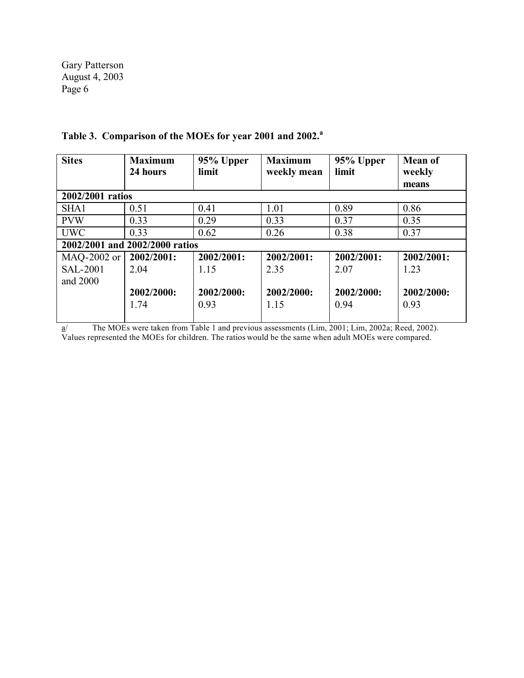| <b>Sites</b>                   | <b>Maximum</b><br>24 hours | 95% Upper<br>limit | <b>Maximum</b> | 95% Upper<br>limit | <b>Mean of</b> |  |  |  |
|--------------------------------|----------------------------|--------------------|----------------|--------------------|----------------|--|--|--|
|                                |                            |                    | weekly mean    |                    | weekly         |  |  |  |
|                                |                            |                    |                |                    | means          |  |  |  |
| 2002/2001 ratios               |                            |                    |                |                    |                |  |  |  |
| SHA1                           | 0.51                       | 0.41               | 1.01           | 0.89               | 0.86           |  |  |  |
| <b>PVW</b>                     | 0.33                       | 0.29               | 0.33           | 0.37               | 0.35           |  |  |  |
| <b>UWC</b>                     | 0.33                       | 0.62               | 0.26           | 0.38               | 0.37           |  |  |  |
| 2002/2001 and 2002/2000 ratios |                            |                    |                |                    |                |  |  |  |
| MAQ-2002 or                    | 2002/2001:                 | 2002/2001:         | 2002/2001:     | 2002/2001:         | 2002/2001:     |  |  |  |
| <b>SAL-2001</b>                | 2.04                       | 1.15               | 2.35           | 2.07               | 1.23           |  |  |  |
| and 2000                       |                            |                    |                |                    |                |  |  |  |
|                                | 2002/2000:                 | 2002/2000:         | 2002/2000:     | 2002/2000:         | 2002/2000:     |  |  |  |
|                                | 1.74                       | 0.93               | 1.15           | 0.94               | 0.93           |  |  |  |
|                                |                            |                    |                |                    |                |  |  |  |

# **Table 3. Comparison of the MOEs for year 2001 and 2002.a**

a/ The MOEs were taken from Table 1 and previous assessments (Lim, 2001; Lim, 2002a; Reed, 2002). Values represented the MOEs for children. The ratios would be the same when adult MOEs were compared.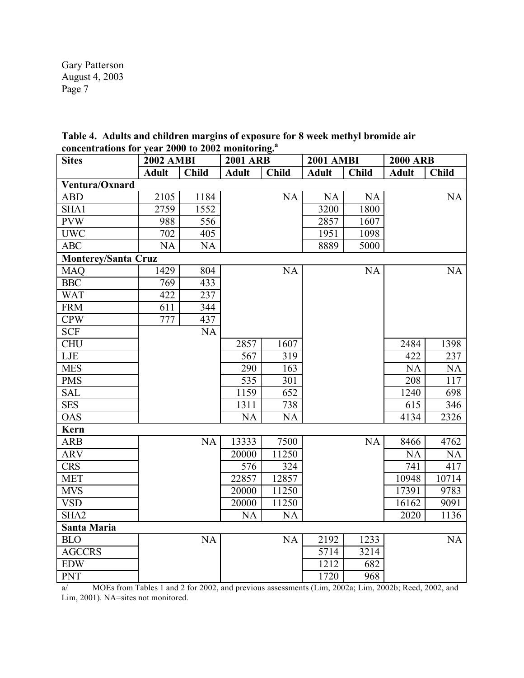|  |                                                               |  | Table 4. Adults and children margins of exposure for 8 week methyl bromide air |
|--|---------------------------------------------------------------|--|--------------------------------------------------------------------------------|
|  | concentrations for year 2000 to 2002 monitoring. <sup>3</sup> |  |                                                                                |

| <b>Sites</b>               | <b>2002 AMBI</b> |              | <b>2001 ARB</b> |              | <b>2001 AMBI</b> |              | <b>2000 ARB</b> |              |
|----------------------------|------------------|--------------|-----------------|--------------|------------------|--------------|-----------------|--------------|
|                            | <b>Adult</b>     | <b>Child</b> | <b>Adult</b>    | <b>Child</b> | <b>Adult</b>     | <b>Child</b> | <b>Adult</b>    | <b>Child</b> |
| Ventura/Oxnard             |                  |              |                 |              |                  |              |                 |              |
| <b>ABD</b>                 | 2105             | 1184         |                 | NA           | NA               | <b>NA</b>    |                 | NA           |
| SHA1                       | 2759             | 1552         |                 |              | 3200             | 1800         |                 |              |
| <b>PVW</b>                 | 988              | 556          |                 |              | 2857             | 1607         |                 |              |
| <b>UWC</b>                 | 702              | 405          |                 |              | 1951             | 1098         |                 |              |
| <b>ABC</b>                 | <b>NA</b>        | <b>NA</b>    |                 |              | 8889             | 5000         |                 |              |
| <b>Monterey/Santa Cruz</b> |                  |              |                 |              |                  |              |                 |              |
| <b>MAQ</b>                 | 1429             | 804          |                 | NA           |                  | <b>NA</b>    |                 | NA           |
| <b>BBC</b>                 | 769              | 433          |                 |              |                  |              |                 |              |
| <b>WAT</b>                 | 422              | 237          |                 |              |                  |              |                 |              |
| <b>FRM</b>                 | 611              | 344          |                 |              |                  |              |                 |              |
| <b>CPW</b>                 | 777              | 437          |                 |              |                  |              |                 |              |
| <b>SCF</b>                 |                  | <b>NA</b>    |                 |              |                  |              |                 |              |
| <b>CHU</b>                 |                  |              | 2857            | 1607         |                  |              | 2484            | 1398         |
| LJE                        |                  |              | 567             | 319          |                  |              | 422             | 237          |
| <b>MES</b>                 |                  |              | 290             | 163          |                  |              | <b>NA</b>       | NA           |
| <b>PMS</b>                 |                  |              | 535             | 301          |                  |              | 208             | 117          |
| <b>SAL</b>                 |                  |              | 1159            | 652          |                  |              | 1240            | 698          |
| <b>SES</b>                 |                  |              | 1311            | 738          |                  |              | 615             | 346          |
| <b>OAS</b>                 |                  |              | <b>NA</b>       | <b>NA</b>    |                  |              | 4134            | 2326         |
| Kern                       |                  |              |                 |              |                  |              |                 |              |
| <b>ARB</b>                 |                  | NA           | 13333           | 7500         |                  | NA           | 8466            | 4762         |
| <b>ARV</b>                 |                  |              | 20000           | 11250        |                  |              | <b>NA</b>       | NA           |
| <b>CRS</b>                 |                  |              | 576             | 324          |                  |              | 741             | 417          |
| <b>MET</b>                 |                  |              | 22857           | 12857        |                  |              | 10948           | 10714        |
| <b>MVS</b>                 |                  |              | 20000           | 11250        |                  |              | 17391           | 9783         |
| <b>VSD</b>                 |                  |              | 20000           | 11250        |                  |              | 16162           | 9091         |
| SHA <sub>2</sub>           |                  |              | <b>NA</b>       | <b>NA</b>    |                  |              | 2020            | 1136         |
| Santa Maria                |                  |              |                 |              |                  |              |                 |              |
| <b>BLO</b>                 |                  | NA           |                 | <b>NA</b>    | 2192             | 1233         |                 | NA           |
| <b>AGCCRS</b>              |                  |              |                 |              | 5714             | 3214         |                 |              |
| <b>EDW</b>                 |                  |              |                 |              | 1212             | 682          |                 |              |
| <b>PNT</b>                 |                  |              |                 |              | 1720             | 968          |                 |              |

a/ MOEs from Tables 1 and 2 for 2002, and previous assessments (Lim, 2002a; Lim, 2002b; Reed, 2002, and Lim, 2001). NA=sites not monitored.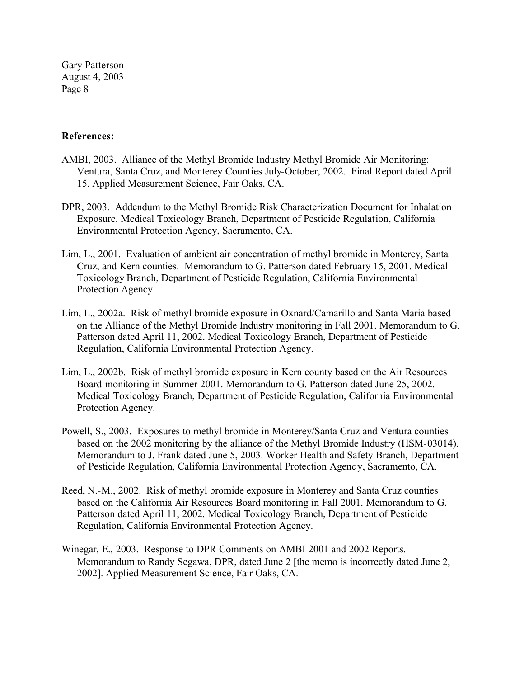### **References:**

- AMBI, 2003. Alliance of the Methyl Bromide Industry Methyl Bromide Air Monitoring: Ventura, Santa Cruz, and Monterey Counties July-October, 2002. Final Report dated April 15. Applied Measurement Science, Fair Oaks, CA.
- DPR, 2003. Addendum to the Methyl Bromide Risk Characterization Document for Inhalation Exposure. Medical Toxicology Branch, Department of Pesticide Regulation, California Environmental Protection Agency, Sacramento, CA.
- Lim, L., 2001. Evaluation of ambient air concentration of methyl bromide in Monterey, Santa Cruz, and Kern counties. Memorandum to G. Patterson dated February 15, 2001. Medical Toxicology Branch, Department of Pesticide Regulation, California Environmental Protection Agency.
- Lim, L., 2002a. Risk of methyl bromide exposure in Oxnard/Camarillo and Santa Maria based on the Alliance of the Methyl Bromide Industry monitoring in Fall 2001. Memorandum to G. Patterson dated April 11, 2002. Medical Toxicology Branch, Department of Pesticide Regulation, California Environmental Protection Agency.
- Lim, L., 2002b. Risk of methyl bromide exposure in Kern county based on the Air Resources Board monitoring in Summer 2001. Memorandum to G. Patterson dated June 25, 2002. Medical Toxicology Branch, Department of Pesticide Regulation, California Environmental Protection Agency.
- Powell, S., 2003. Exposures to methyl bromide in Monterey/Santa Cruz and Ventura counties based on the 2002 monitoring by the alliance of the Methyl Bromide Industry (HSM-03014). Memorandum to J. Frank dated June 5, 2003. Worker Health and Safety Branch, Department of Pesticide Regulation, California Environmental Protection Agency, Sacramento, CA.
- Reed, N.-M., 2002. Risk of methyl bromide exposure in Monterey and Santa Cruz counties based on the California Air Resources Board monitoring in Fall 2001. Memorandum to G. Patterson dated April 11, 2002. Medical Toxicology Branch, Department of Pesticide Regulation, California Environmental Protection Agency.
- Winegar, E., 2003. Response to DPR Comments on AMBI 2001 and 2002 Reports. Memorandum to Randy Segawa, DPR, dated June 2 [the memo is incorrectly dated June 2, 2002]. Applied Measurement Science, Fair Oaks, CA.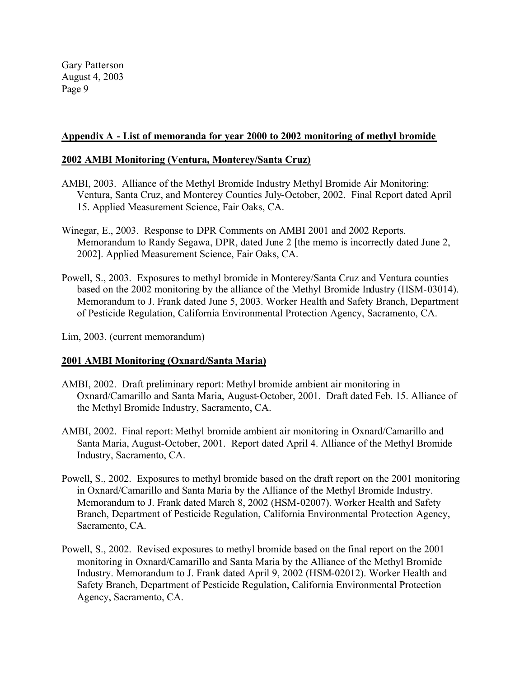### **Appendix A - List of memoranda for year 2000 to 2002 monitoring of methyl bromide**

### **2002 AMBI Monitoring (Ventura, Monterey/Santa Cruz)**

- AMBI, 2003. Alliance of the Methyl Bromide Industry Methyl Bromide Air Monitoring: Ventura, Santa Cruz, and Monterey Counties July-October, 2002. Final Report dated April 15. Applied Measurement Science, Fair Oaks, CA.
- Memorandum to Randy Segawa, DPR, dated June 2 [the memo is incorrectly dated June 2, Winegar, E., 2003. Response to DPR Comments on AMBI 2001 and 2002 Reports. 2002]. Applied Measurement Science, Fair Oaks, CA.
- Powell, S., 2003. Exposures to methyl bromide in Monterey/Santa Cruz and Ventura counties based on the 2002 monitoring by the alliance of the Methyl Bromide Industry (HSM-03014). Memorandum to J. Frank dated June 5, 2003. Worker Health and Safety Branch, Department of Pesticide Regulation, California Environmental Protection Agency, Sacramento, CA.

Lim, 2003. (current memorandum)

### **2001 AMBI Monitoring (Oxnard/Santa Maria)**

- Oxnard/Camarillo and Santa Maria, August-October, 2001. Draft dated Feb. 15. Alliance of AMBI, 2002. Draft preliminary report: Methyl bromide ambient air monitoring in the Methyl Bromide Industry, Sacramento, CA.
- AMBI, 2002. Final report: Methyl bromide ambient air monitoring in Oxnard/Camarillo and Santa Maria, August-October, 2001. Report dated April 4. Alliance of the Methyl Bromide Industry, Sacramento, CA.
- Powell, S., 2002. Exposures to methyl bromide based on the draft report on the 2001 monitoring in Oxnard/Camarillo and Santa Maria by the Alliance of the Methyl Bromide Industry. Memorandum to J. Frank dated March 8, 2002 (HSM-02007). Worker Health and Safety Branch, Department of Pesticide Regulation, California Environmental Protection Agency, Sacramento, CA.
- Powell, S., 2002. Revised exposures to methyl bromide based on the final report on the 2001 monitoring in Oxnard/Camarillo and Santa Maria by the Alliance of the Methyl Bromide Industry. Memorandum to J. Frank dated April 9, 2002 (HSM-02012). Worker Health and Safety Branch, Department of Pesticide Regulation, California Environmental Protection Agency, Sacramento, CA.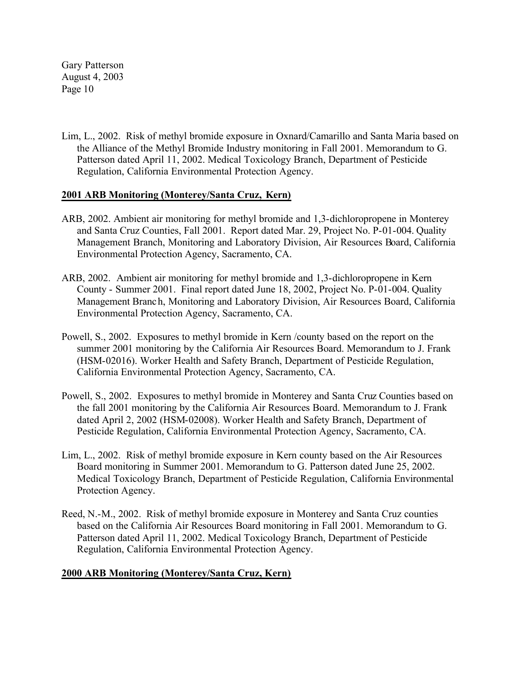Lim, L., 2002. Risk of methyl bromide exposure in Oxnard/Camarillo and Santa Maria based on the Alliance of the Methyl Bromide Industry monitoring in Fall 2001. Memorandum to G. Patterson dated April 11, 2002. Medical Toxicology Branch, Department of Pesticide Regulation, California Environmental Protection Agency.

# **2001 ARB Monitoring (Monterey/Santa Cruz, Kern)**

- ARB, 2002. Ambient air monitoring for methyl bromide and 1,3-dichloropropene in Monterey and Santa Cruz Counties, Fall 2001. Report dated Mar. 29, Project No. P-01-004. Quality Management Branch, Monitoring and Laboratory Division, Air Resources Board, California Environmental Protection Agency, Sacramento, CA.
- ARB, 2002. Ambient air monitoring for methyl bromide and 1,3-dichloropropene in Kern County - Summer 2001. Final report dated June 18, 2002, Project No. P-01-004. Quality Management Branch, Monitoring and Laboratory Division, Air Resources Board, California Environmental Protection Agency, Sacramento, CA.
- Powell, S., 2002. Exposures to methyl bromide in Kern /county based on the report on the summer 2001 monitoring by the California Air Resources Board. Memorandum to J. Frank (HSM-02016). Worker Health and Safety Branch, Department of Pesticide Regulation, California Environmental Protection Agency, Sacramento, CA.
- Powell, S., 2002. Exposures to methyl bromide in Monterey and Santa Cruz Counties based on the fall 2001 monitoring by the California Air Resources Board. Memorandum to J. Frank dated April 2, 2002 (HSM-02008). Worker Health and Safety Branch, Department of Pesticide Regulation, California Environmental Protection Agency, Sacramento, CA.
- Lim, L., 2002. Risk of methyl bromide exposure in Kern county based on the Air Resources Board monitoring in Summer 2001. Memorandum to G. Patterson dated June 25, 2002. Medical Toxicology Branch, Department of Pesticide Regulation, California Environmental Protection Agency.
- Reed, N.-M., 2002. Risk of methyl bromide exposure in Monterey and Santa Cruz counties based on the California Air Resources Board monitoring in Fall 2001. Memorandum to G. Patterson dated April 11, 2002. Medical Toxicology Branch, Department of Pesticide Regulation, California Environmental Protection Agency.

### **2000 ARB Monitoring (Monterey/Santa Cruz, Kern)**